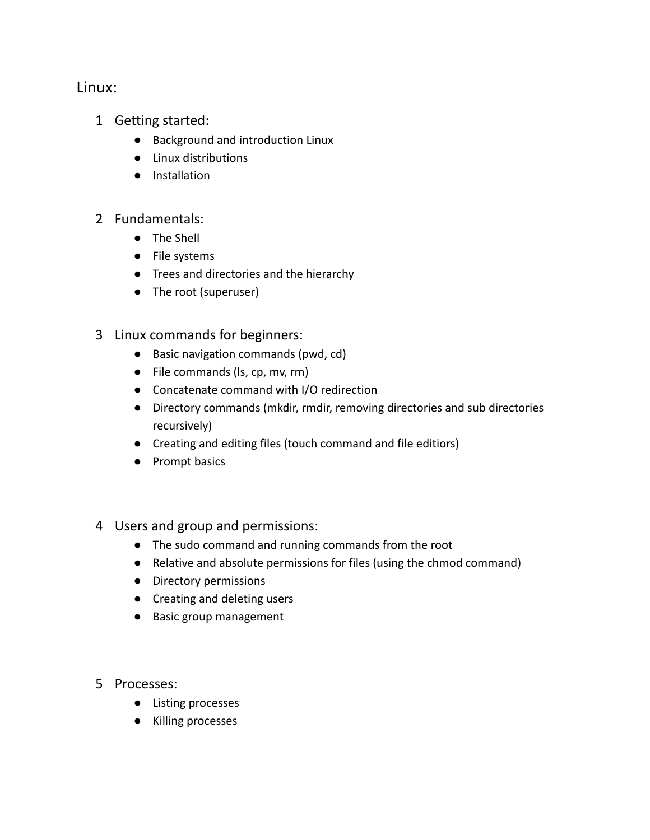## Linux:

- 1 Getting started:
	- Background and introduction Linux
	- Linux distributions
	- Installation

## 2 Fundamentals:

- The Shell
- File systems
- Trees and directories and the hierarchy
- The root (superuser)
- 3 Linux commands for beginners:
	- Basic navigation commands (pwd, cd)
	- File commands (ls, cp, mv, rm)
	- Concatenate command with I/O redirection
	- Directory commands (mkdir, rmdir, removing directories and sub directories recursively)
	- Creating and editing files (touch command and file editiors)
	- Prompt basics
- 4 Users and group and permissions:
	- The sudo command and running commands from the root
	- Relative and absolute permissions for files (using the chmod command)
	- Directory permissions
	- Creating and deleting users
	- Basic group management
- 5 Processes:
	- Listing processes
	- Killing processes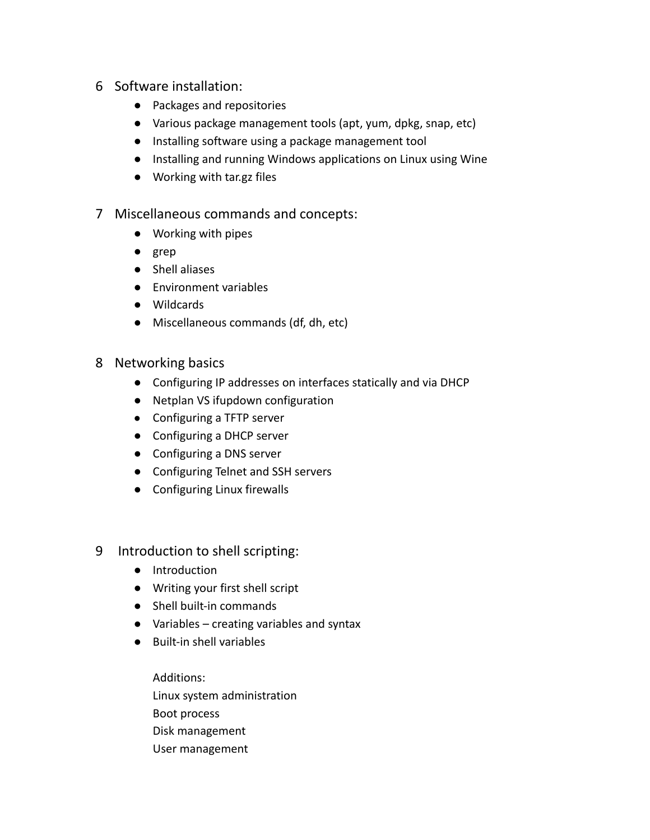- 6 Software installation:
	- Packages and repositories
	- Various package management tools (apt, yum, dpkg, snap, etc)
	- Installing software using a package management tool
	- Installing and running Windows applications on Linux using Wine
	- Working with tar.gz files
- 7 Miscellaneous commands and concepts:
	- Working with pipes
	- grep
	- Shell aliases
	- Environment variables
	- Wildcards
	- Miscellaneous commands (df, dh, etc)

## 8 Networking basics

- Configuring IP addresses on interfaces statically and via DHCP
- Netplan VS ifupdown configuration
- Configuring a TFTP server
- Configuring a DHCP server
- Configuring a DNS server
- Configuring Telnet and SSH servers
- Configuring Linux firewalls
- 9 Introduction to shell scripting:
	- Introduction
	- Writing your first shell script
	- Shell built-in commands
	- Variables creating variables and syntax
	- Built-in shell variables

Additions: Linux system administration Boot process Disk management User management